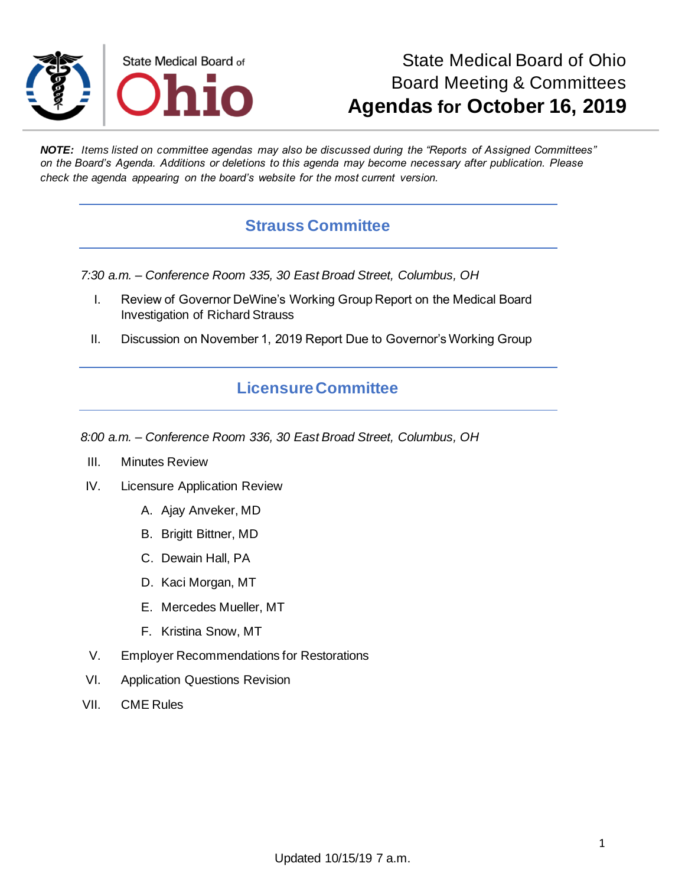

## State Medical Board of Ohio Board Meeting & Committees **Agendas for October 16, 2019**

*NOTE: Items listed on committee agendas may also be discussed during the "Reports of Assigned Committees" on the Board's Agenda. Additions or deletions to this agenda may become necessary after publication. Please check the agenda appearing on the board's website for the most current version.*

#### **Strauss Committee**

*7:30 a.m. – Conference Room 335, 30 East Broad Street, Columbus, OH*

- I. Review of Governor DeWine's Working Group Report on the Medical Board Investigation of Richard Strauss
- II. Discussion on November 1, 2019 Report Due to Governor's Working Group

#### **Licensure Committee**

*8:00 a.m. – Conference Room 336, 30 East Broad Street, Columbus, OH*

- III. Minutes Review
- IV. Licensure Application Review
	- A. Ajay Anveker, MD
	- B. Brigitt Bittner, MD
	- C. Dewain Hall, PA
	- D. Kaci Morgan, MT
	- E. Mercedes Mueller, MT
	- F. Kristina Snow, MT
- V. Employer Recommendations for Restorations
- VI. Application Questions Revision
- VII. CME Rules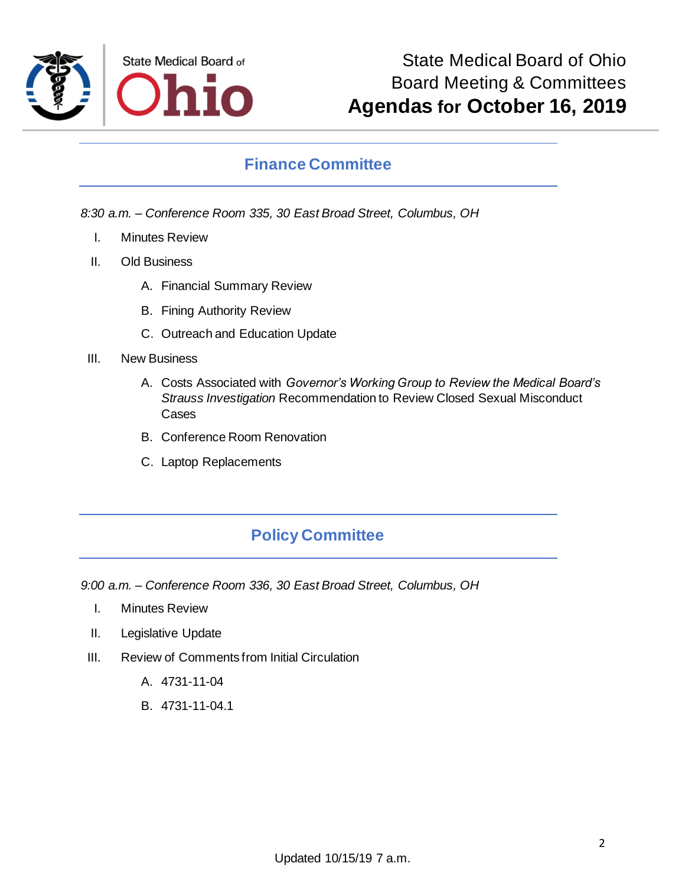

#### **Finance Committee**

*8:30 a.m. – Conference Room 335, 30 East Broad Street, Columbus, OH*

- I. Minutes Review
- II. Old Business
	- A. Financial Summary Review
	- B. Fining Authority Review
	- C. Outreach and Education Update
- III. New Business
	- A. Costs Associated with *Governor's Working Group to Review the Medical Board's Strauss Investigation* Recommendation to Review Closed Sexual Misconduct Cases
	- B. Conference Room Renovation
	- C. Laptop Replacements

### **Policy Committee**

*9:00 a.m. – Conference Room 336, 30 East Broad Street, Columbus, OH*

- I. Minutes Review
- II. Legislative Update
- III. Review of Comments from Initial Circulation
	- A. 4731-11-04
	- B. 4731-11-04.1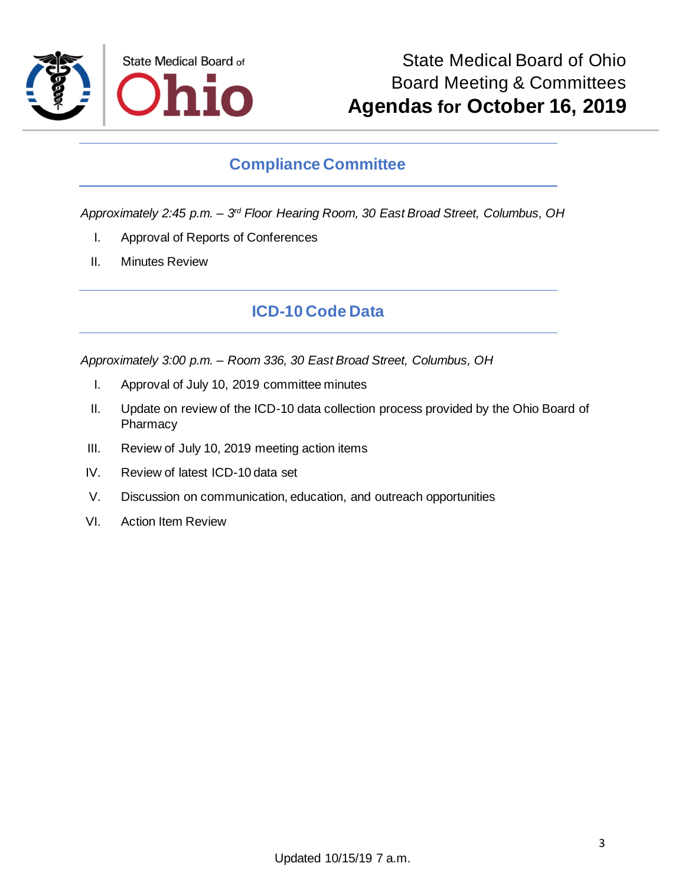

#### **Compliance Committee**

*Approximately 2:45 p.m. – 3 rd Floor Hearing Room, 30 East Broad Street, Columbus, OH*

- I. Approval of Reports of Conferences
- II. Minutes Review

#### **ICD-10 Code Data**

*Approximately 3:00 p.m. – Room 336, 30 East Broad Street, Columbus, OH*

- I. Approval of July 10, 2019 committee minutes
- II. Update on review of the ICD-10 data collection process provided by the Ohio Board of Pharmacy
- III. Review of July 10, 2019 meeting action items
- IV. Review of latest ICD-10 data set
- V. Discussion on communication, education, and outreach opportunities
- VI. Action Item Review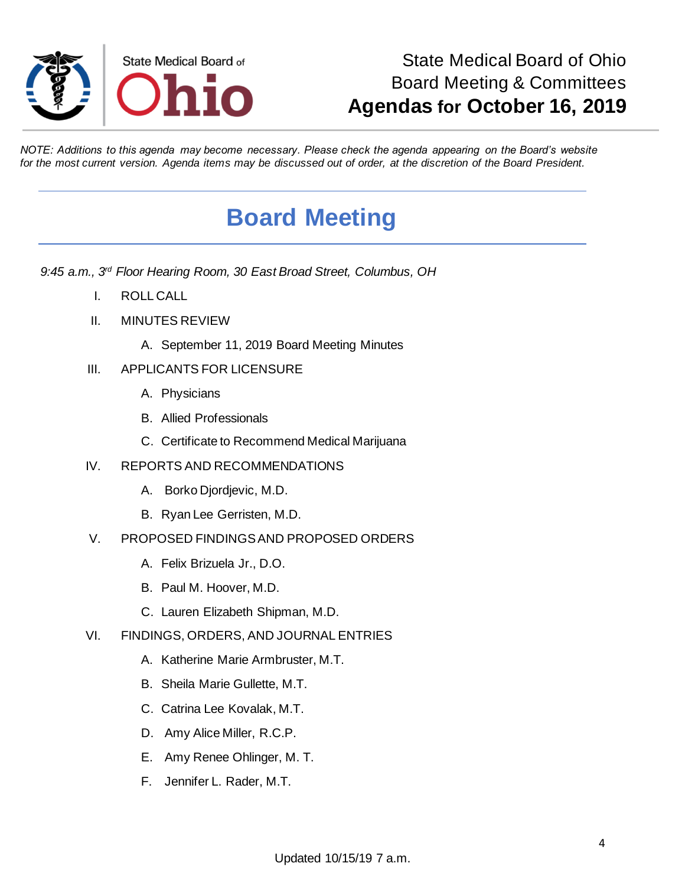

## State Medical Board of Ohio Board Meeting & Committees **Agendas for October 16, 2019**

*NOTE: Additions to this agenda may become necessary. Please check the agenda appearing on the Board's website for the most current version. Agenda items may be discussed out of order, at the discretion of the Board President.*

# **Board Meeting**

*9:45 a.m., 3rd Floor Hearing Room, 30 East Broad Street, Columbus, OH*

- I. ROLL CALL
- II. MINUTES REVIEW
	- A. September 11, 2019 Board Meeting Minutes
- III. APPLICANTS FOR LICENSURE
	- A. Physicians
	- B. Allied Professionals
	- C. Certificate to Recommend Medical Marijuana
- IV. REPORTS AND RECOMMENDATIONS
	- A. Borko Djordjevic, M.D.
	- B. Ryan Lee Gerristen, M.D.
- V. PROPOSED FINDINGS AND PROPOSED ORDERS
	- A. Felix Brizuela Jr., D.O.
	- B. Paul M. Hoover, M.D.
	- C. Lauren Elizabeth Shipman, M.D.
- VI. FINDINGS, ORDERS, AND JOURNAL ENTRIES
	- A. Katherine Marie Armbruster, M.T.
	- B. Sheila Marie Gullette, M.T.
	- C. Catrina Lee Kovalak, M.T.
	- D. Amy Alice Miller, R.C.P.
	- E. Amy Renee Ohlinger, M. T.
	- F. Jennifer L. Rader, M.T.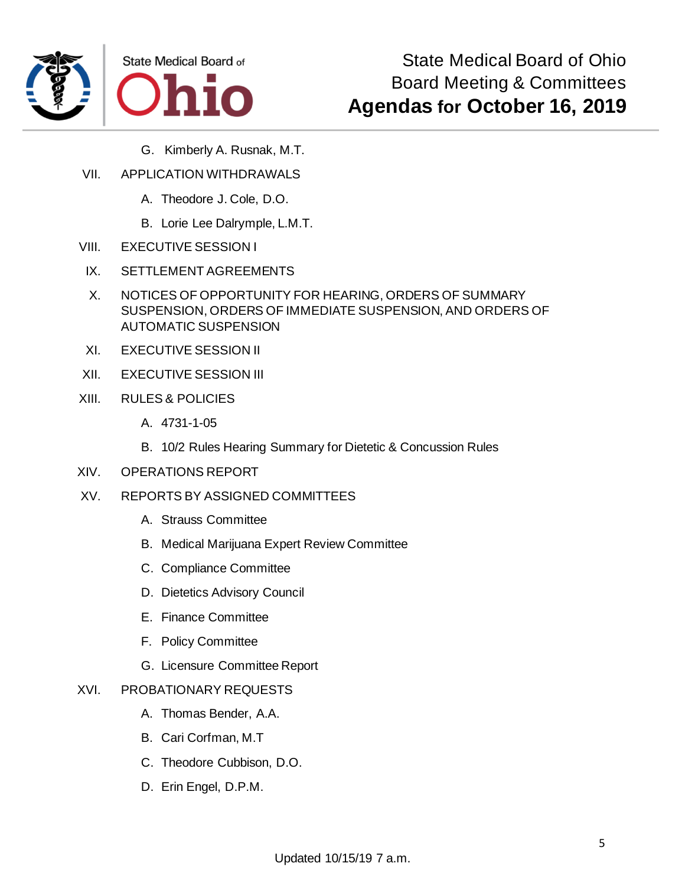



- G. Kimberly A. Rusnak, M.T.
- VII. APPLICATION WITHDRAWALS
	- A. Theodore J. Cole, D.O.
	- B. Lorie Lee Dalrymple, L.M.T.
- VIII. EXECUTIVE SESSION I
- IX. SETTLEMENT AGREEMENTS
- X. NOTICES OF OPPORTUNITY FOR HEARING, ORDERS OF SUMMARY SUSPENSION, ORDERS OF IMMEDIATE SUSPENSION, AND ORDERS OF AUTOMATIC SUSPENSION
- XI. EXECUTIVE SESSION II
- XII. EXECUTIVE SESSION III
- XIII. RULES & POLICIES
	- A. 4731-1-05
	- B. 10/2 Rules Hearing Summary for Dietetic & Concussion Rules
- XIV. OPERATIONS REPORT
- XV. REPORTS BY ASSIGNED COMMITTEES
	- A. Strauss Committee
	- B. Medical Marijuana Expert Review Committee
	- C. Compliance Committee
	- D. Dietetics Advisory Council
	- E. Finance Committee
	- F. Policy Committee
	- G. Licensure Committee Report

#### XVI. PROBATIONARY REQUESTS

- A. Thomas Bender, A.A.
- B. Cari Corfman, M.T
- C. Theodore Cubbison, D.O.
- D. Erin Engel, D.P.M.